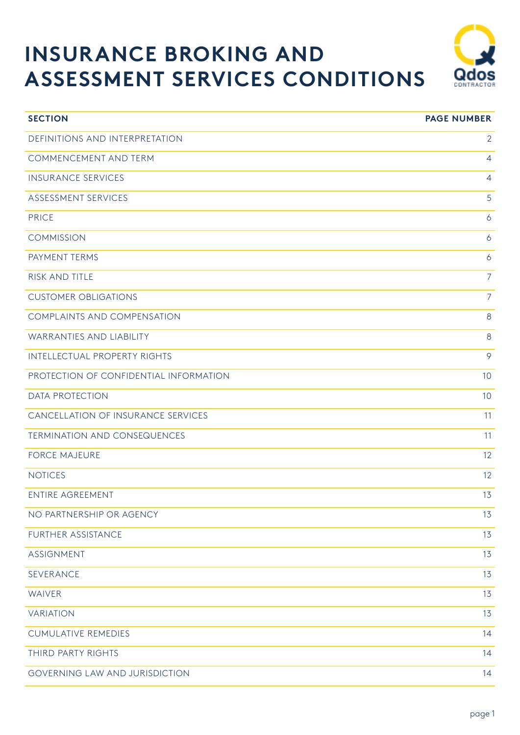# **INSURANCE BROKING AND ASSESSMENT SERVICES CONDITIONS**



| <b>SECTION</b>                         | <b>PAGE NUMBER</b> |
|----------------------------------------|--------------------|
| DEFINITIONS AND INTERPRETATION         | $\overline{2}$     |
| COMMENCEMENT AND TERM                  | $\overline{4}$     |
| <b>INSURANCE SERVICES</b>              | $\overline{4}$     |
| ASSESSMENT SERVICES                    | 5                  |
| <b>PRICE</b>                           | $\ddot{\circ}$     |
| <b>COMMISSION</b>                      | 6                  |
| PAYMENT TERMS                          | $\ddot{\circ}$     |
| RISK AND TITLE                         | $\overline{7}$     |
| <b>CUSTOMER OBLIGATIONS</b>            | $\overline{7}$     |
| COMPLAINTS AND COMPENSATION            | 8                  |
| WARRANTIES AND LIABILITY               | 8                  |
| <b>INTELLECTUAL PROPERTY RIGHTS</b>    | 9                  |
| PROTECTION OF CONFIDENTIAL INFORMATION | 10                 |
| <b>DATA PROTECTION</b>                 | 10                 |
| CANCELLATION OF INSURANCE SERVICES     | 11                 |
| <b>TERMINATION AND CONSEQUENCES</b>    | 11                 |
| <b>FORCE MAJEURE</b>                   | 12                 |
| <b>NOTICES</b>                         | 12                 |
| <b>ENTIRE AGREEMENT</b>                | 13                 |
| NO PARTNERSHIP OR AGENCY               | 13                 |
| FURTHER ASSISTANCE                     | 13                 |
| <b>ASSIGNMENT</b>                      | 13                 |
| SEVERANCE                              | 13                 |
| <b>WAIVER</b>                          | 13                 |
| <b>VARIATION</b>                       | 13                 |
| <b>CUMULATIVE REMEDIES</b>             | 14                 |
| THIRD PARTY RIGHTS                     | 14                 |
| GOVERNING LAW AND JURISDICTION         | 14                 |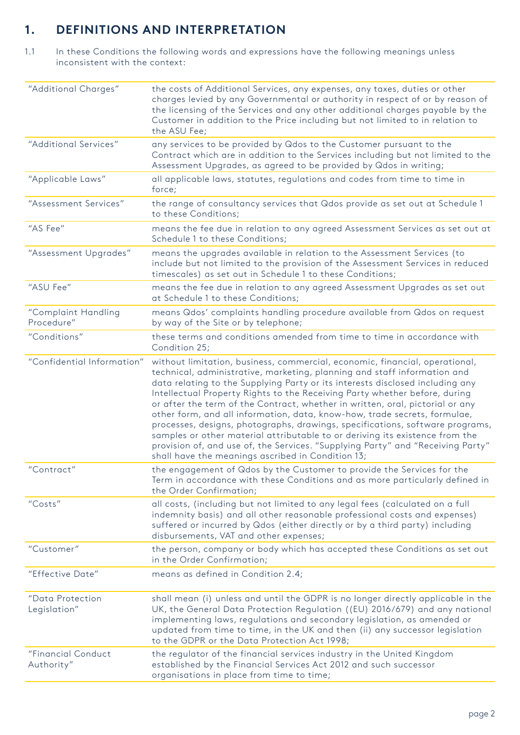# **1. DEFINITIONS AND INTERPRETATION**

1.1 In these Conditions the following words and expressions have the following meanings unless inconsistent with the context:

| "Additional Charges"              | the costs of Additional Services, any expenses, any taxes, duties or other<br>charges levied by any Governmental or authority in respect of or by reason of<br>the licensing of the Services and any other additional charges payable by the<br>Customer in addition to the Price including but not limited to in relation to<br>the ASU Fee;                                                                                                                                                                                                                                                                                                                                                                                                                                                 |
|-----------------------------------|-----------------------------------------------------------------------------------------------------------------------------------------------------------------------------------------------------------------------------------------------------------------------------------------------------------------------------------------------------------------------------------------------------------------------------------------------------------------------------------------------------------------------------------------------------------------------------------------------------------------------------------------------------------------------------------------------------------------------------------------------------------------------------------------------|
| "Additional Services"             | any services to be provided by Qdos to the Customer pursuant to the<br>Contract which are in addition to the Services including but not limited to the<br>Assessment Upgrades, as agreed to be provided by Qdos in writing;                                                                                                                                                                                                                                                                                                                                                                                                                                                                                                                                                                   |
| "Applicable Laws"                 | all applicable laws, statutes, regulations and codes from time to time in<br>force;                                                                                                                                                                                                                                                                                                                                                                                                                                                                                                                                                                                                                                                                                                           |
| "Assessment Services"             | the range of consultancy services that Qdos provide as set out at Schedule 1<br>to these Conditions;                                                                                                                                                                                                                                                                                                                                                                                                                                                                                                                                                                                                                                                                                          |
| "AS Fee"                          | means the fee due in relation to any agreed Assessment Services as set out at<br>Schedule 1 to these Conditions;                                                                                                                                                                                                                                                                                                                                                                                                                                                                                                                                                                                                                                                                              |
| "Assessment Upgrades"             | means the upgrades available in relation to the Assessment Services (to<br>include but not limited to the provision of the Assessment Services in reduced<br>timescales) as set out in Schedule 1 to these Conditions;                                                                                                                                                                                                                                                                                                                                                                                                                                                                                                                                                                        |
| "ASU Fee"                         | means the fee due in relation to any agreed Assessment Upgrades as set out<br>at Schedule 1 to these Conditions;                                                                                                                                                                                                                                                                                                                                                                                                                                                                                                                                                                                                                                                                              |
| "Complaint Handling<br>Procedure" | means Qdos' complaints handling procedure available from Qdos on request<br>by way of the Site or by telephone;                                                                                                                                                                                                                                                                                                                                                                                                                                                                                                                                                                                                                                                                               |
| "Conditions"                      | these terms and conditions amended from time to time in accordance with<br>Condition 25;                                                                                                                                                                                                                                                                                                                                                                                                                                                                                                                                                                                                                                                                                                      |
| "Confidential Information"        | without limitation, business, commercial, economic, financial, operational,<br>technical, administrative, marketing, planning and staff information and<br>data relating to the Supplying Party or its interests disclosed including any<br>Intellectual Property Rights to the Receiving Party whether before, during<br>or after the term of the Contract, whether in written, oral, pictorial or any<br>other form, and all information, data, know-how, trade secrets, formulae,<br>processes, designs, photographs, drawings, specifications, software programs,<br>samples or other material attributable to or deriving its existence from the<br>provision of, and use of, the Services. "Supplying Party" and "Receiving Party"<br>shall have the meanings ascribed in Condition 13; |
| "Contract"                        | the engagement of Qdos by the Customer to provide the Services for the<br>Term in accordance with these Conditions and as more particularly defined in<br>the Order Confirmation;                                                                                                                                                                                                                                                                                                                                                                                                                                                                                                                                                                                                             |
| "Costs"                           | all costs, (including but not limited to any legal fees (calculated on a full<br>indemnity basis) and all other reasonable professional costs and expenses)<br>suffered or incurred by Qdos (either directly or by a third party) including<br>disbursements, VAT and other expenses;                                                                                                                                                                                                                                                                                                                                                                                                                                                                                                         |
| "Customer"                        | the person, company or body which has accepted these Conditions as set out<br>in the Order Confirmation;                                                                                                                                                                                                                                                                                                                                                                                                                                                                                                                                                                                                                                                                                      |
| "Effective Date"                  | means as defined in Condition 2.4;                                                                                                                                                                                                                                                                                                                                                                                                                                                                                                                                                                                                                                                                                                                                                            |
| "Data Protection<br>Legislation"  | shall mean (i) unless and until the GDPR is no longer directly applicable in the<br>UK, the General Data Protection Regulation ((EU) 2016/679) and any national<br>implementing laws, regulations and secondary legislation, as amended or<br>updated from time to time, in the UK and then (ii) any successor legislation<br>to the GDPR or the Data Protection Act 1998;                                                                                                                                                                                                                                                                                                                                                                                                                    |
| "Financial Conduct<br>Authority"  | the regulator of the financial services industry in the United Kingdom<br>established by the Financial Services Act 2012 and such successor<br>organisations in place from time to time;                                                                                                                                                                                                                                                                                                                                                                                                                                                                                                                                                                                                      |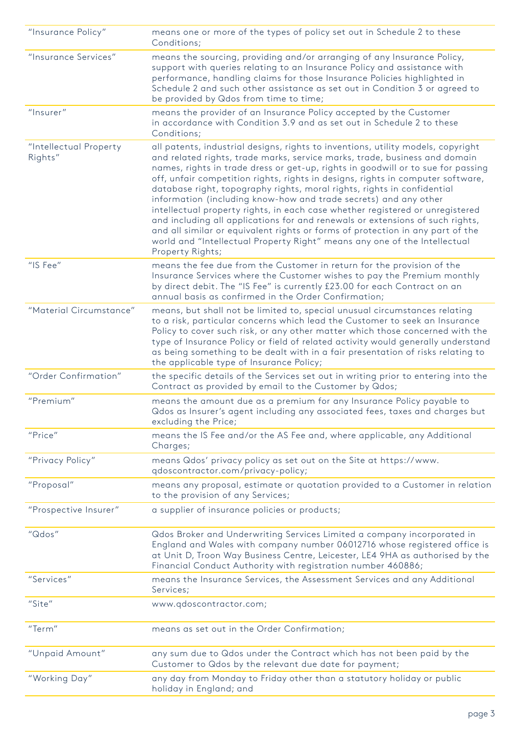| "Insurance Policy"                | means one or more of the types of policy set out in Schedule 2 to these<br>Conditions;                                                                                                                                                                                                                                                                                                                                                                                                                                                                                                                                                                                                                                                                                                                                                    |
|-----------------------------------|-------------------------------------------------------------------------------------------------------------------------------------------------------------------------------------------------------------------------------------------------------------------------------------------------------------------------------------------------------------------------------------------------------------------------------------------------------------------------------------------------------------------------------------------------------------------------------------------------------------------------------------------------------------------------------------------------------------------------------------------------------------------------------------------------------------------------------------------|
| "Insurance Services"              | means the sourcing, providing and/or arranging of any Insurance Policy,<br>support with queries relating to an Insurance Policy and assistance with<br>performance, handling claims for those Insurance Policies highlighted in<br>Schedule 2 and such other assistance as set out in Condition 3 or agreed to<br>be provided by Qdos from time to time;                                                                                                                                                                                                                                                                                                                                                                                                                                                                                  |
| "Insurer"                         | means the provider of an Insurance Policy accepted by the Customer<br>in accordance with Condition 3.9 and as set out in Schedule 2 to these<br>Conditions;                                                                                                                                                                                                                                                                                                                                                                                                                                                                                                                                                                                                                                                                               |
| "Intellectual Property<br>Rights" | all patents, industrial designs, rights to inventions, utility models, copyright<br>and related rights, trade marks, service marks, trade, business and domain<br>names, rights in trade dress or get-up, rights in goodwill or to sue for passing<br>off, unfair competition rights, rights in designs, rights in computer software,<br>database right, topography rights, moral rights, rights in confidential<br>information (including know-how and trade secrets) and any other<br>intellectual property rights, in each case whether registered or unregistered<br>and including all applications for and renewals or extensions of such rights,<br>and all similar or equivalent rights or forms of protection in any part of the<br>world and "Intellectual Property Right" means any one of the Intellectual<br>Property Rights; |
| "IS Fee"                          | means the fee due from the Customer in return for the provision of the<br>Insurance Services where the Customer wishes to pay the Premium monthly<br>by direct debit. The "IS Fee" is currently £23.00 for each Contract on an<br>annual basis as confirmed in the Order Confirmation;                                                                                                                                                                                                                                                                                                                                                                                                                                                                                                                                                    |
| "Material Circumstance"           | means, but shall not be limited to, special unusual circumstances relating<br>to a risk, particular concerns which lead the Customer to seek an Insurance<br>Policy to cover such risk, or any other matter which those concerned with the<br>type of Insurance Policy or field of related activity would generally understand<br>as being something to be dealt with in a fair presentation of risks relating to<br>the applicable type of Insurance Policy;                                                                                                                                                                                                                                                                                                                                                                             |
| "Order Confirmation"              | the specific details of the Services set out in writing prior to entering into the<br>Contract as provided by email to the Customer by Qdos;                                                                                                                                                                                                                                                                                                                                                                                                                                                                                                                                                                                                                                                                                              |
| "Premium"                         | means the amount due as a premium for any Insurance Policy payable to<br>Qdos as Insurer's agent including any associated fees, taxes and charges but<br>excluding the Price;                                                                                                                                                                                                                                                                                                                                                                                                                                                                                                                                                                                                                                                             |
| "Price"                           | means the IS Fee and/or the AS Fee and, where applicable, any Additional<br>Charges;                                                                                                                                                                                                                                                                                                                                                                                                                                                                                                                                                                                                                                                                                                                                                      |
| "Privacy Policy"                  | means Qdos' privacy policy as set out on the Site at https://www.<br>qdoscontractor.com/privacy-policy;                                                                                                                                                                                                                                                                                                                                                                                                                                                                                                                                                                                                                                                                                                                                   |
| "Proposal"                        | means any proposal, estimate or quotation provided to a Customer in relation<br>to the provision of any Services;                                                                                                                                                                                                                                                                                                                                                                                                                                                                                                                                                                                                                                                                                                                         |
| "Prospective Insurer"             | a supplier of insurance policies or products;                                                                                                                                                                                                                                                                                                                                                                                                                                                                                                                                                                                                                                                                                                                                                                                             |
| "Qdos"                            | Qdos Broker and Underwriting Services Limited a company incorporated in<br>England and Wales with company number 06012716 whose registered office is<br>at Unit D, Troon Way Business Centre, Leicester, LE4 9HA as authorised by the<br>Financial Conduct Authority with registration number 460886;                                                                                                                                                                                                                                                                                                                                                                                                                                                                                                                                     |
| "Services"                        | means the Insurance Services, the Assessment Services and any Additional<br>Services;                                                                                                                                                                                                                                                                                                                                                                                                                                                                                                                                                                                                                                                                                                                                                     |
| "Site"                            | www.qdoscontractor.com;                                                                                                                                                                                                                                                                                                                                                                                                                                                                                                                                                                                                                                                                                                                                                                                                                   |
| "Term"                            | means as set out in the Order Confirmation;                                                                                                                                                                                                                                                                                                                                                                                                                                                                                                                                                                                                                                                                                                                                                                                               |
| "Unpaid Amount"                   | any sum due to Qdos under the Contract which has not been paid by the<br>Customer to Qdos by the relevant due date for payment;                                                                                                                                                                                                                                                                                                                                                                                                                                                                                                                                                                                                                                                                                                           |
| "Working Day"                     | any day from Monday to Friday other than a statutory holiday or public<br>holiday in England; and                                                                                                                                                                                                                                                                                                                                                                                                                                                                                                                                                                                                                                                                                                                                         |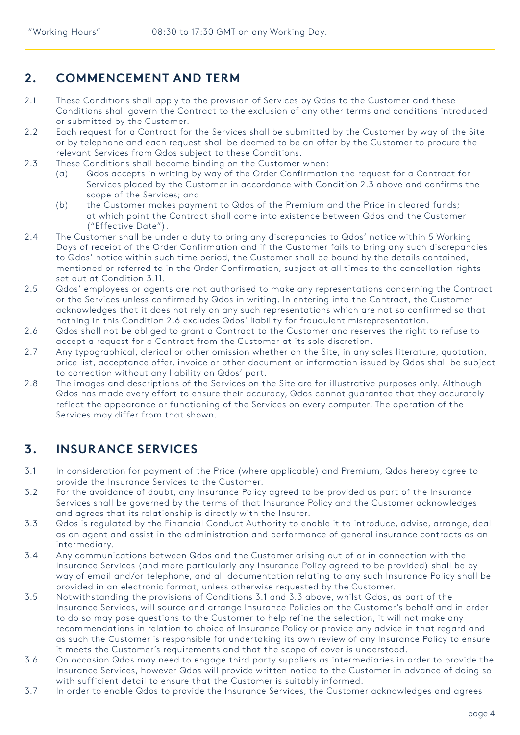### **2. COMMENCEMENT AND TERM**

- 2.1 These Conditions shall apply to the provision of Services by Qdos to the Customer and these Conditions shall govern the Contract to the exclusion of any other terms and conditions introduced or submitted by the Customer.
- 2.2 Each request for a Contract for the Services shall be submitted by the Customer by way of the Site or by telephone and each request shall be deemed to be an offer by the Customer to procure the relevant Services from Qdos subject to these Conditions.
- 2.3 These Conditions shall become binding on the Customer when:
	- (a) Qdos accepts in writing by way of the Order Confirmation the request for a Contract for Services placed by the Customer in accordance with Condition 2.3 above and confirms the scope of the Services; and
	- (b) the Customer makes payment to Qdos of the Premium and the Price in cleared funds; at which point the Contract shall come into existence between Qdos and the Customer ("Effective Date").
- 2.4 The Customer shall be under a duty to bring any discrepancies to Qdos' notice within 5 Working Days of receipt of the Order Confirmation and if the Customer fails to bring any such discrepancies to Qdos' notice within such time period, the Customer shall be bound by the details contained, mentioned or referred to in the Order Confirmation, subject at all times to the cancellation rights set out at Condition 3.11.
- 2.5 Qdos' employees or agents are not authorised to make any representations concerning the Contract or the Services unless confirmed by Qdos in writing. In entering into the Contract, the Customer acknowledges that it does not rely on any such representations which are not so confirmed so that nothing in this Condition 2.6 excludes Qdos' liability for fraudulent misrepresentation.
- 2.6 Qdos shall not be obliged to grant a Contract to the Customer and reserves the right to refuse to accept a request for a Contract from the Customer at its sole discretion.
- 2.7 Any typographical, clerical or other omission whether on the Site, in any sales literature, quotation, price list, acceptance offer, invoice or other document or information issued by Qdos shall be subject to correction without any liability on Qdos' part.
- 2.8 The images and descriptions of the Services on the Site are for illustrative purposes only. Although Qdos has made every effort to ensure their accuracy, Qdos cannot guarantee that they accurately reflect the appearance or functioning of the Services on every computer. The operation of the Services may differ from that shown.

## **3. INSURANCE SERVICES**

- 3.1 In consideration for payment of the Price (where applicable) and Premium, Qdos hereby agree to provide the Insurance Services to the Customer.
- 3.2 For the avoidance of doubt, any Insurance Policy agreed to be provided as part of the Insurance Services shall be governed by the terms of that Insurance Policy and the Customer acknowledges and agrees that its relationship is directly with the Insurer.
- 3.3 Qdos is regulated by the Financial Conduct Authority to enable it to introduce, advise, arrange, deal as an agent and assist in the administration and performance of general insurance contracts as an intermediary.
- 3.4 Any communications between Qdos and the Customer arising out of or in connection with the Insurance Services (and more particularly any Insurance Policy agreed to be provided) shall be by way of email and/or telephone, and all documentation relating to any such Insurance Policy shall be provided in an electronic format, unless otherwise requested by the Customer.
- 3.5 Notwithstanding the provisions of Conditions 3.1 and 3.3 above, whilst Qdos, as part of the Insurance Services, will source and arrange Insurance Policies on the Customer's behalf and in order to do so may pose questions to the Customer to help refine the selection, it will not make any recommendations in relation to choice of Insurance Policy or provide any advice in that regard and as such the Customer is responsible for undertaking its own review of any Insurance Policy to ensure it meets the Customer's requirements and that the scope of cover is understood.
- 3.6 On occasion Qdos may need to engage third party suppliers as intermediaries in order to provide the Insurance Services, however Qdos will provide written notice to the Customer in advance of doing so with sufficient detail to ensure that the Customer is suitably informed.
- 3.7 In order to enable Qdos to provide the Insurance Services, the Customer acknowledges and agrees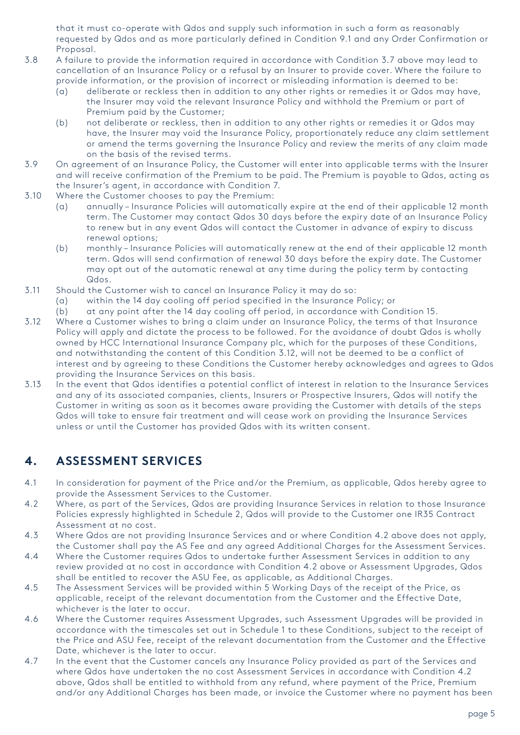that it must co-operate with Qdos and supply such information in such a form as reasonably requested by Qdos and as more particularly defined in Condition 9.1 and any Order Confirmation or Proposal.

- 3.8 A failure to provide the information required in accordance with Condition 3.7 above may lead to cancellation of an Insurance Policy or a refusal by an Insurer to provide cover. Where the failure to provide information, or the provision of incorrect or misleading information is deemed to be:
	- (a) deliberate or reckless then in addition to any other rights or remedies it or Qdos may have, the Insurer may void the relevant Insurance Policy and withhold the Premium or part of Premium paid by the Customer;
	- (b) not deliberate or reckless, then in addition to any other rights or remedies it or Qdos may have, the Insurer may void the Insurance Policy, proportionately reduce any claim settlement or amend the terms governing the Insurance Policy and review the merits of any claim made on the basis of the revised terms.
- 3.9 On agreement of an Insurance Policy, the Customer will enter into applicable terms with the Insurer and will receive confirmation of the Premium to be paid. The Premium is payable to Qdos, acting as the Insurer's agent, in accordance with Condition 7.
- 3.10 Where the Customer chooses to pay the Premium:
	- (a) annually Insurance Policies will automatically expire at the end of their applicable 12 month term. The Customer may contact Qdos 30 days before the expiry date of an Insurance Policy to renew but in any event Qdos will contact the Customer in advance of expiry to discuss renewal options;
	- (b) monthly Insurance Policies will automatically renew at the end of their applicable 12 month term. Qdos will send confirmation of renewal 30 days before the expiry date. The Customer may opt out of the automatic renewal at any time during the policy term by contacting Qdos.
- 3.11 Should the Customer wish to cancel an Insurance Policy it may do so:
	- within the 14 day cooling off period specified in the Insurance Policy; or
	- (b) at any point after the 14 day cooling off period, in accordance with Condition 15.
- 3.12 Where a Customer wishes to bring a claim under an Insurance Policy, the terms of that Insurance Policy will apply and dictate the process to be followed. For the avoidance of doubt Qdos is wholly owned by HCC International Insurance Company plc, which for the purposes of these Conditions, and notwithstanding the content of this Condition 3.12, will not be deemed to be a conflict of interest and by agreeing to these Conditions the Customer hereby acknowledges and agrees to Qdos providing the Insurance Services on this basis.
- 3.13 In the event that Qdos identifies a potential conflict of interest in relation to the Insurance Services and any of its associated companies, clients, Insurers or Prospective Insurers, Qdos will notify the Customer in writing as soon as it becomes aware providing the Customer with details of the steps Qdos will take to ensure fair treatment and will cease work on providing the Insurance Services unless or until the Customer has provided Qdos with its written consent.

## **4. ASSESSMENT SERVICES**

- 4.1 In consideration for payment of the Price and/or the Premium, as applicable, Qdos hereby agree to provide the Assessment Services to the Customer.
- 4.2 Where, as part of the Services, Qdos are providing Insurance Services in relation to those Insurance Policies expressly highlighted in Schedule 2, Qdos will provide to the Customer one IR35 Contract Assessment at no cost.
- 4.3 Where Qdos are not providing Insurance Services and or where Condition 4.2 above does not apply, the Customer shall pay the AS Fee and any agreed Additional Charges for the Assessment Services.
- 4.4 Where the Customer requires Qdos to undertake further Assessment Services in addition to any review provided at no cost in accordance with Condition 4.2 above or Assessment Upgrades, Qdos shall be entitled to recover the ASU Fee, as applicable, as Additional Charges.
- 4.5 The Assessment Services will be provided within 5 Working Days of the receipt of the Price, as applicable, receipt of the relevant documentation from the Customer and the Effective Date, whichever is the later to occur.
- 4.6 Where the Customer requires Assessment Upgrades, such Assessment Upgrades will be provided in accordance with the timescales set out in Schedule 1 to these Conditions, subject to the receipt of the Price and ASU Fee, receipt of the relevant documentation from the Customer and the Effective Date, whichever is the later to occur.
- 4.7 In the event that the Customer cancels any Insurance Policy provided as part of the Services and where Qdos have undertaken the no cost Assessment Services in accordance with Condition 4.2 above, Qdos shall be entitled to withhold from any refund, where payment of the Price, Premium and/or any Additional Charges has been made, or invoice the Customer where no payment has been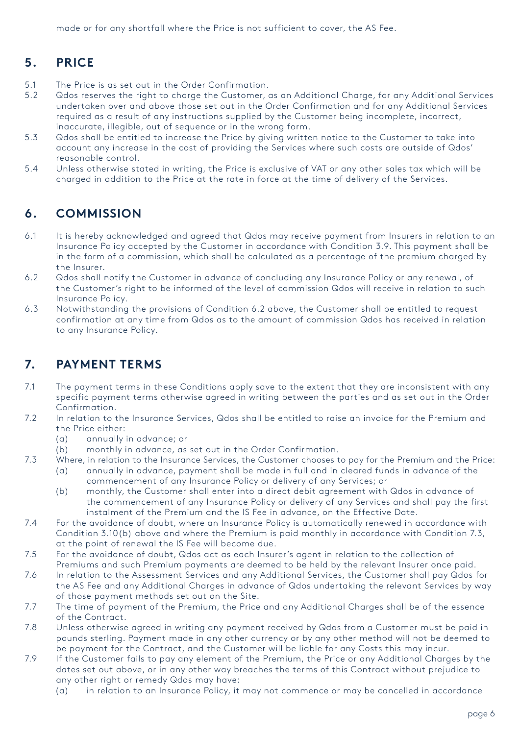made or for any shortfall where the Price is not sufficient to cover, the AS Fee.

# **5. PRICE**

- 5.1 The Price is as set out in the Order Confirmation.
- 5.2 Qdos reserves the right to charge the Customer, as an Additional Charge, for any Additional Services undertaken over and above those set out in the Order Confirmation and for any Additional Services required as a result of any instructions supplied by the Customer being incomplete, incorrect, inaccurate, illegible, out of sequence or in the wrong form.
- 5.3 Qdos shall be entitled to increase the Price by giving written notice to the Customer to take into account any increase in the cost of providing the Services where such costs are outside of Qdos' reasonable control.
- 5.4 Unless otherwise stated in writing, the Price is exclusive of VAT or any other sales tax which will be charged in addition to the Price at the rate in force at the time of delivery of the Services.

#### **6. COMMISSION**

- 6.1 It is hereby acknowledged and agreed that Qdos may receive payment from Insurers in relation to an Insurance Policy accepted by the Customer in accordance with Condition 3.9. This payment shall be in the form of a commission, which shall be calculated as a percentage of the premium charged by the Insurer.
- 6.2 Qdos shall notify the Customer in advance of concluding any Insurance Policy or any renewal, of the Customer's right to be informed of the level of commission Qdos will receive in relation to such Insurance Policy.
- 6.3 Notwithstanding the provisions of Condition 6.2 above, the Customer shall be entitled to request confirmation at any time from Qdos as to the amount of commission Qdos has received in relation to any Insurance Policy.

### **7. PAYMENT TERMS**

- 7.1 The payment terms in these Conditions apply save to the extent that they are inconsistent with any specific payment terms otherwise agreed in writing between the parties and as set out in the Order Confirmation.
- 7.2 In relation to the Insurance Services, Qdos shall be entitled to raise an invoice for the Premium and the Price either:
	- (a) annually in advance; or
	- (b) monthly in advance, as set out in the Order Confirmation.
- 7.3 Where, in relation to the Insurance Services, the Customer chooses to pay for the Premium and the Price: (a) annually in advance, payment shall be made in full and in cleared funds in advance of the
	- commencement of any Insurance Policy or delivery of any Services; or
	- (b) monthly, the Customer shall enter into a direct debit agreement with Qdos in advance of the commencement of any Insurance Policy or delivery of any Services and shall pay the first instalment of the Premium and the IS Fee in advance, on the Effective Date.
- 7.4 For the avoidance of doubt, where an Insurance Policy is automatically renewed in accordance with Condition 3.10(b) above and where the Premium is paid monthly in accordance with Condition 7.3, at the point of renewal the IS Fee will become due.
- 7.5 For the avoidance of doubt, Qdos act as each Insurer's agent in relation to the collection of Premiums and such Premium payments are deemed to be held by the relevant Insurer once paid.
- 7.6 In relation to the Assessment Services and any Additional Services, the Customer shall pay Qdos for the AS Fee and any Additional Charges in advance of Qdos undertaking the relevant Services by way of those payment methods set out on the Site.
- 7.7 The time of payment of the Premium, the Price and any Additional Charges shall be of the essence of the Contract.
- 7.8 Unless otherwise agreed in writing any payment received by Qdos from a Customer must be paid in pounds sterling. Payment made in any other currency or by any other method will not be deemed to be payment for the Contract, and the Customer will be liable for any Costs this may incur.
- 7.9 If the Customer fails to pay any element of the Premium, the Price or any Additional Charges by the dates set out above, or in any other way breaches the terms of this Contract without prejudice to any other right or remedy Qdos may have:
	- (a) in relation to an Insurance Policy, it may not commence or may be cancelled in accordance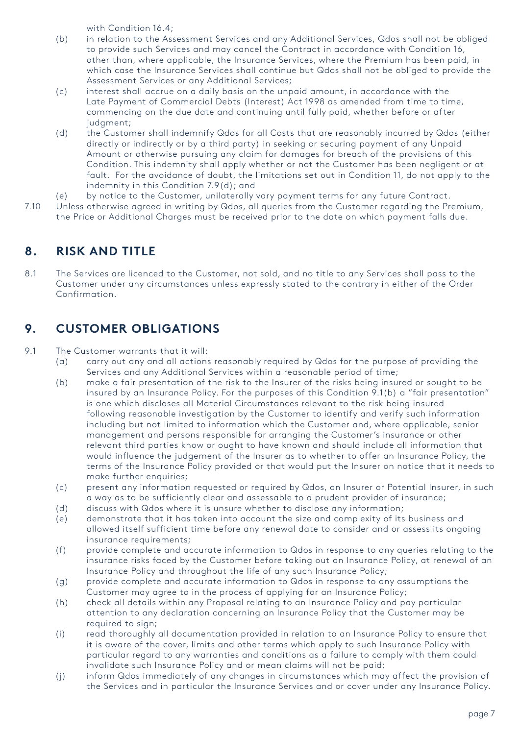with Condition 16.4;

- (b) in relation to the Assessment Services and any Additional Services, Qdos shall not be obliged to provide such Services and may cancel the Contract in accordance with Condition 16, other than, where applicable, the Insurance Services, where the Premium has been paid, in which case the Insurance Services shall continue but Qdos shall not be obliged to provide the Assessment Services or any Additional Services;
- (c) interest shall accrue on a daily basis on the unpaid amount, in accordance with the Late Payment of Commercial Debts (Interest) Act 1998 as amended from time to time, commencing on the due date and continuing until fully paid, whether before or after judgment;
- (d) the Customer shall indemnify Qdos for all Costs that are reasonably incurred by Qdos (either directly or indirectly or by a third party) in seeking or securing payment of any Unpaid Amount or otherwise pursuing any claim for damages for breach of the provisions of this Condition. This indemnity shall apply whether or not the Customer has been negligent or at fault. For the avoidance of doubt, the limitations set out in Condition 11, do not apply to the indemnity in this Condition 7.9(d); and
- (e) by notice to the Customer, unilaterally vary payment terms for any future Contract.
- 7.10 Unless otherwise agreed in writing by Qdos, all queries from the Customer regarding the Premium, the Price or Additional Charges must be received prior to the date on which payment falls due.

# **8. RISK AND TITLE**

8.1 The Services are licenced to the Customer, not sold, and no title to any Services shall pass to the Customer under any circumstances unless expressly stated to the contrary in either of the Order Confirmation.

# **9. CUSTOMER OBLIGATIONS**

9.1 The Customer warrants that it will:

- (a) carry out any and all actions reasonably required by Qdos for the purpose of providing the Services and any Additional Services within a reasonable period of time;
- (b) make a fair presentation of the risk to the Insurer of the risks being insured or sought to be insured by an Insurance Policy. For the purposes of this Condition 9.1(b) a "fair presentation" is one which discloses all Material Circumstances relevant to the risk being insured following reasonable investigation by the Customer to identify and verify such information including but not limited to information which the Customer and, where applicable, senior management and persons responsible for arranging the Customer's insurance or other relevant third parties know or ought to have known and should include all information that would influence the judgement of the Insurer as to whether to offer an Insurance Policy, the terms of the Insurance Policy provided or that would put the Insurer on notice that it needs to make further enquiries;
- (c) present any information requested or required by Qdos, an Insurer or Potential Insurer, in such a way as to be sufficiently clear and assessable to a prudent provider of insurance;
- (d) discuss with Qdos where it is unsure whether to disclose any information;
- (e) demonstrate that it has taken into account the size and complexity of its business and allowed itself sufficient time before any renewal date to consider and or assess its ongoing insurance requirements;
- (f) provide complete and accurate information to Qdos in response to any queries relating to the insurance risks faced by the Customer before taking out an Insurance Policy, at renewal of an Insurance Policy and throughout the life of any such Insurance Policy;
- (g) provide complete and accurate information to Qdos in response to any assumptions the Customer may agree to in the process of applying for an Insurance Policy;
- (h) check all details within any Proposal relating to an Insurance Policy and pay particular attention to any declaration concerning an Insurance Policy that the Customer may be required to sign;
- (i) read thoroughly all documentation provided in relation to an Insurance Policy to ensure that it is aware of the cover, limits and other terms which apply to such Insurance Policy with particular regard to any warranties and conditions as a failure to comply with them could invalidate such Insurance Policy and or mean claims will not be paid;
- (j) inform Qdos immediately of any changes in circumstances which may affect the provision of the Services and in particular the Insurance Services and or cover under any Insurance Policy.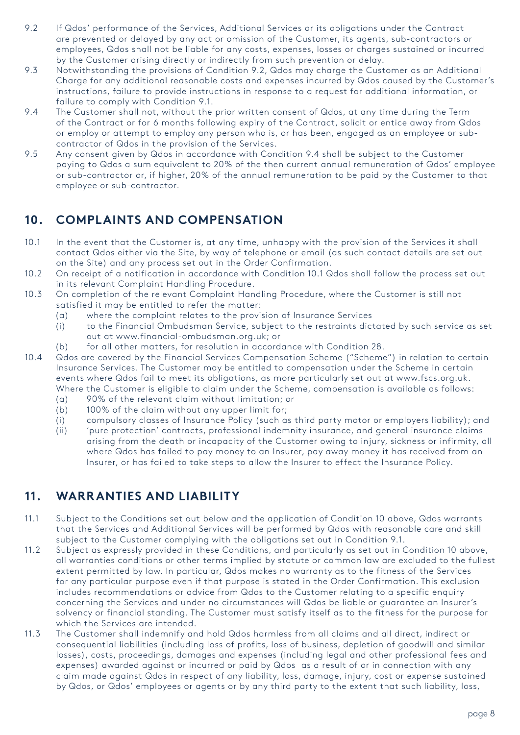- 9.2 If Qdos' performance of the Services, Additional Services or its obligations under the Contract are prevented or delayed by any act or omission of the Customer, its agents, sub-contractors or employees, Qdos shall not be liable for any costs, expenses, losses or charges sustained or incurred by the Customer arising directly or indirectly from such prevention or delay.
- 9.3 Notwithstanding the provisions of Condition 9.2, Qdos may charge the Customer as an Additional Charge for any additional reasonable costs and expenses incurred by Qdos caused by the Customer's instructions, failure to provide instructions in response to a request for additional information, or failure to comply with Condition 9.1.
- 9.4 The Customer shall not, without the prior written consent of Qdos, at any time during the Term of the Contract or for 6 months following expiry of the Contract, solicit or entice away from Qdos or employ or attempt to employ any person who is, or has been, engaged as an employee or subcontractor of Qdos in the provision of the Services.
- 9.5 Any consent given by Qdos in accordance with Condition 9.4 shall be subject to the Customer paying to Qdos a sum equivalent to 20% of the then current annual remuneration of Qdos' employee or sub-contractor or, if higher, 20% of the annual remuneration to be paid by the Customer to that employee or sub-contractor.

# **10. COMPLAINTS AND COMPENSATION**

- 10.1 In the event that the Customer is, at any time, unhappy with the provision of the Services it shall contact Qdos either via the Site, by way of telephone or email (as such contact details are set out on the Site) and any process set out in the Order Confirmation.
- 10.2 On receipt of a notification in accordance with Condition 10.1 Qdos shall follow the process set out in its relevant Complaint Handling Procedure.
- 10.3 On completion of the relevant Complaint Handling Procedure, where the Customer is still not satisfied it may be entitled to refer the matter:
	- (a) where the complaint relates to the provision of Insurance Services
	- (i) to the Financial Ombudsman Service, subject to the restraints dictated by such service as set out at www.financial-ombudsman.org.uk; or
	- (b) for all other matters, for resolution in accordance with Condition 28.
- 10.4 Qdos are covered by the Financial Services Compensation Scheme ("Scheme") in relation to certain Insurance Services. The Customer may be entitled to compensation under the Scheme in certain events where Qdos fail to meet its obligations, as more particularly set out at www.fscs.org.uk. Where the Customer is eligible to claim under the Scheme, compensation is available as follows:
	- (a) 90% of the relevant claim without limitation; or
	- (b) 100% of the claim without any upper limit for;
	- (i) compulsory classes of Insurance Policy (such as third party motor or employers liability); and
	- (ii) 'pure protection' contracts, professional indemnity insurance, and general insurance claims arising from the death or incapacity of the Customer owing to injury, sickness or infirmity, all where Qdos has failed to pay money to an Insurer, pay away money it has received from an Insurer, or has failed to take steps to allow the Insurer to effect the Insurance Policy.

## **11. WARRANTIES AND LIABILITY**

- 11.1 Subject to the Conditions set out below and the application of Condition 10 above, Qdos warrants that the Services and Additional Services will be performed by Qdos with reasonable care and skill subject to the Customer complying with the obligations set out in Condition 9.1.
- 11.2 Subject as expressly provided in these Conditions, and particularly as set out in Condition 10 above, all warranties conditions or other terms implied by statute or common law are excluded to the fullest extent permitted by law. In particular, Qdos makes no warranty as to the fitness of the Services for any particular purpose even if that purpose is stated in the Order Confirmation. This exclusion includes recommendations or advice from Qdos to the Customer relating to a specific enquiry concerning the Services and under no circumstances will Qdos be liable or guarantee an Insurer's solvency or financial standing. The Customer must satisfy itself as to the fitness for the purpose for which the Services are intended.
- 11.3 The Customer shall indemnify and hold Qdos harmless from all claims and all direct, indirect or consequential liabilities (including loss of profits, loss of business, depletion of goodwill and similar losses), costs, proceedings, damages and expenses (including legal and other professional fees and expenses) awarded against or incurred or paid by Qdos as a result of or in connection with any claim made against Qdos in respect of any liability, loss, damage, injury, cost or expense sustained by Qdos, or Qdos' employees or agents or by any third party to the extent that such liability, loss,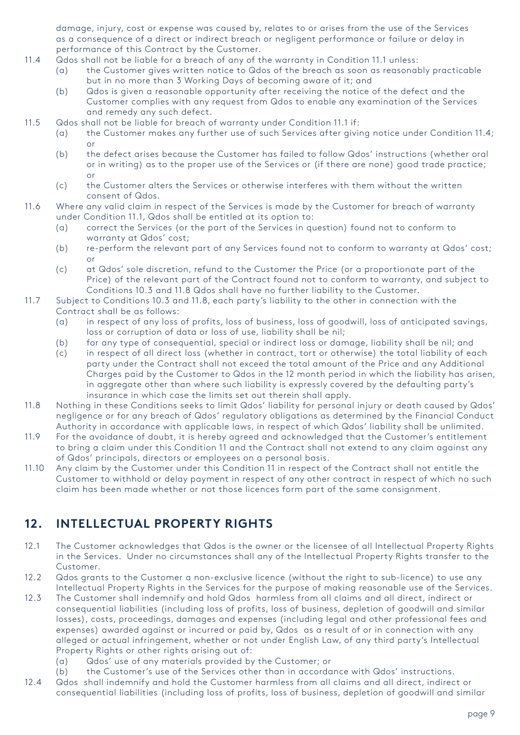damage, injury, cost or expense was caused by, relates to or arises from the use of the Services as a consequence of a direct or indirect breach or negligent performance or failure or delay in performance of this Contract by the Customer.

- 11.4 Qdos shall not be liable for a breach of any of the warranty in Condition 11.1 unless:
	- (a) the Customer gives written notice to Qdos of the breach as soon as reasonably practicable but in no more than 3 Working Days of becoming aware of it; and
	- (b) Qdos is given a reasonable opportunity after receiving the notice of the defect and the Customer complies with any request from Qdos to enable any examination of the Services and remedy any such defect.
- 11.5 Qdos shall not be liable for breach of warranty under Condition 11.1 if:
	- (a) the Customer makes any further use of such Services after giving notice under Condition 11.4; or
	- (b) the defect arises because the Customer has failed to follow Qdos' instructions (whether oral or in writing) as to the proper use of the Services or (if there are none) good trade practice; or
	- (c) the Customer alters the Services or otherwise interferes with them without the written consent of Qdos.
- 11.6 Where any valid claim in respect of the Services is made by the Customer for breach of warranty under Condition 11.1, Qdos shall be entitled at its option to:
	- (a) correct the Services (or the part of the Services in question) found not to conform to warranty at Qdos' cost;
	- (b) re-perform the relevant part of any Services found not to conform to warranty at Qdos' cost; or
	- (c) at Qdos' sole discretion, refund to the Customer the Price (or a proportionate part of the Price) of the relevant part of the Contract found not to conform to warranty, and subject to Conditions 10.3 and 11.8 Qdos shall have no further liability to the Customer.
- 11.7 Subject to Conditions 10.3 and 11.8, each party's liability to the other in connection with the Contract shall be as follows:
	- (a) in respect of any loss of profits, loss of business, loss of goodwill, loss of anticipated savings, loss or corruption of data or loss of use, liability shall be nil;
	- (b) for any type of consequential, special or indirect loss or damage, liability shall be nil; and
	- (c) in respect of all direct loss (whether in contract, tort or otherwise) the total liability of each party under the Contract shall not exceed the total amount of the Price and any Additional Charges paid by the Customer to Qdos in the 12 month period in which the liability has arisen, in aggregate other than where such liability is expressly covered by the defaulting party's insurance in which case the limits set out therein shall apply.
- 11.8 Nothing in these Conditions seeks to limit Qdos' liability for personal injury or death caused by Qdos' negligence or for any breach of Qdos' regulatory obligations as determined by the Financial Conduct Authority in accordance with applicable laws, in respect of which Qdos' liability shall be unlimited.
- 11.9 For the avoidance of doubt, it is hereby agreed and acknowledged that the Customer's entitlement to bring a claim under this Condition 11 and the Contract shall not extend to any claim against any of Qdos' principals, directors or employees on a personal basis.
- 11.10 Any claim by the Customer under this Condition 11 in respect of the Contract shall not entitle the Customer to withhold or delay payment in respect of any other contract in respect of which no such claim has been made whether or not those licences form part of the same consignment.

# **12. INTELLECTUAL PROPERTY RIGHTS**

- 12.1 The Customer acknowledges that Qdos is the owner or the licensee of all Intellectual Property Rights in the Services. Under no circumstances shall any of the Intellectual Property Rights transfer to the Customer.
- 12.2 Qdos grants to the Customer a non-exclusive licence (without the right to sub-licence) to use any Intellectual Property Rights in the Services for the purpose of making reasonable use of the Services.
- 12.3 The Customer shall indemnify and hold Qdos harmless from all claims and all direct, indirect or consequential liabilities (including loss of profits, loss of business, depletion of goodwill and similar losses), costs, proceedings, damages and expenses (including legal and other professional fees and expenses) awarded against or incurred or paid by, Qdos as a result of or in connection with any alleged or actual infringement, whether or not under English Law, of any third party's Intellectual Property Rights or other rights arising out of:
	- (a) Qdos' use of any materials provided by the Customer; or
	- (b) the Customer's use of the Services other than in accordance with Qdos' instructions.
- 12.4 Qdos shall indemnify and hold the Customer harmless from all claims and all direct, indirect or consequential liabilities (including loss of profits, loss of business, depletion of goodwill and similar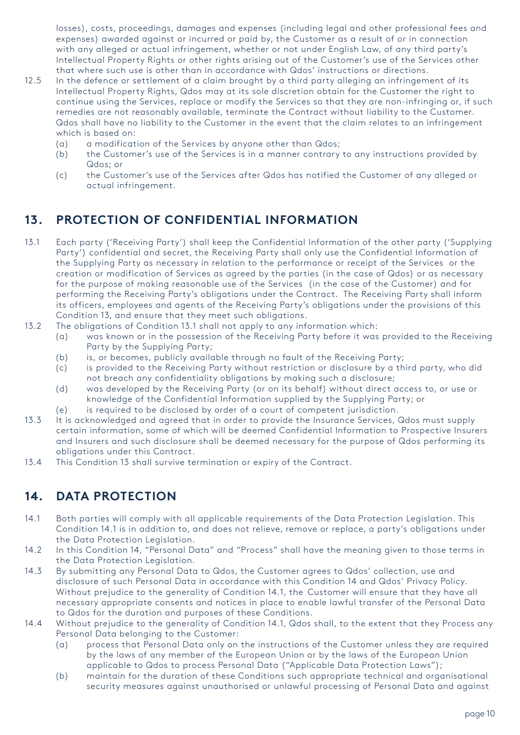losses), costs, proceedings, damages and expenses (including legal and other professional fees and expenses) awarded against or incurred or paid by, the Customer as a result of or in connection with any alleged or actual infringement, whether or not under English Law, of any third party's Intellectual Property Rights or other rights arising out of the Customer's use of the Services other that where such use is other than in accordance with Qdos' instructions or directions.

- 12.5 In the defence or settlement of a claim brought by a third party alleging an infringement of its Intellectual Property Rights, Qdos may at its sole discretion obtain for the Customer the right to continue using the Services, replace or modify the Services so that they are non-infringing or, if such remedies are not reasonably available, terminate the Contract without liability to the Customer. Qdos shall have no liability to the Customer in the event that the claim relates to an infringement which is based on:
	- (a) a modification of the Services by anyone other than Qdos;
	- (b) the Customer's use of the Services is in a manner contrary to any instructions provided by Qdos; or
	- (c) the Customer's use of the Services after Qdos has notified the Customer of any alleged or actual infringement.

# **13. PROTECTION OF CONFIDENTIAL INFORMATION**

- 13.1 Each party ('Receiving Party') shall keep the Confidential Information of the other party ('Supplying Party') confidential and secret, the Receiving Party shall only use the Confidential Information of the Supplying Party as necessary in relation to the performance or receipt of the Services or the creation or modification of Services as agreed by the parties (in the case of Qdos) or as necessary for the purpose of making reasonable use of the Services (in the case of the Customer) and for performing the Receiving Party's obligations under the Contract. The Receiving Party shall inform its officers, employees and agents of the Receiving Party's obligations under the provisions of this Condition 13, and ensure that they meet such obligations.
- 13.2 The obligations of Condition 13.1 shall not apply to any information which:
	- (a) was known or in the possession of the Receiving Party before it was provided to the Receiving Party by the Supplying Party;
	- (b) is, or becomes, publicly available through no fault of the Receiving Party;
	- (c) is provided to the Receiving Party without restriction or disclosure by a third party, who did not breach any confidentiality obligations by making such a disclosure;
	- (d) was developed by the Receiving Party (or on its behalf) without direct access to, or use or knowledge of the Confidential Information supplied by the Supplying Party; or
	- (e) is required to be disclosed by order of a court of competent jurisdiction.
- 13.3 It is acknowledged and agreed that in order to provide the Insurance Services, Qdos must supply certain information, some of which will be deemed Confidential Information to Prospective Insurers and Insurers and such disclosure shall be deemed necessary for the purpose of Qdos performing its obligations under this Contract.
- 13.4 This Condition 13 shall survive termination or expiry of the Contract.

## **14. DATA PROTECTION**

- 14.1 Both parties will comply with all applicable requirements of the Data Protection Legislation. This Condition 14.1 is in addition to, and does not relieve, remove or replace, a party's obligations under the Data Protection Legislation.
- 14.2 In this Condition 14, "Personal Data" and "Process" shall have the meaning given to those terms in the Data Protection Legislation.
- 14.3 By submitting any Personal Data to Qdos, the Customer agrees to Qdos' collection, use and disclosure of such Personal Data in accordance with this Condition 14 and Qdos' Privacy Policy. Without prejudice to the generality of Condition 14.1, the Customer will ensure that they have all necessary appropriate consents and notices in place to enable lawful transfer of the Personal Data to Qdos for the duration and purposes of these Conditions.
- 14.4 Without prejudice to the generality of Condition 14.1, Qdos shall, to the extent that they Process any Personal Data belonging to the Customer:
	- (a) process that Personal Data only on the instructions of the Customer unless they are required by the laws of any member of the European Union or by the laws of the European Union applicable to Qdos to process Personal Data ("Applicable Data Protection Laws");
	- (b) maintain for the duration of these Conditions such appropriate technical and organisational security measures against unauthorised or unlawful processing of Personal Data and against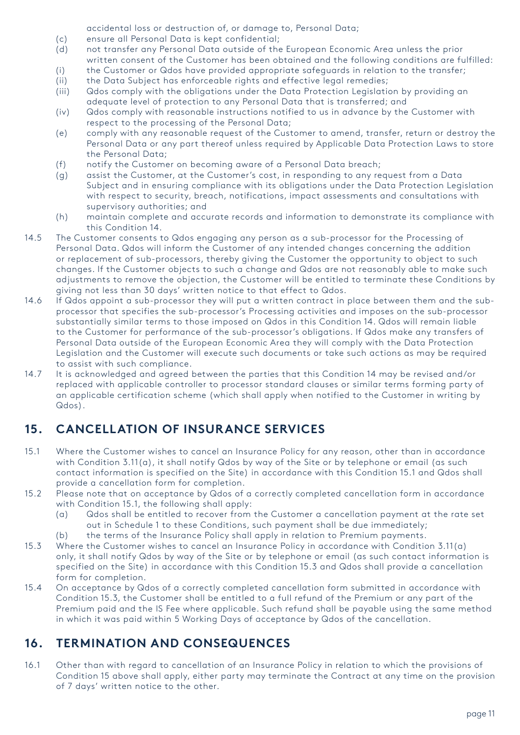accidental loss or destruction of, or damage to, Personal Data;

- (c) ensure all Personal Data is kept confidential;
- (d) not transfer any Personal Data outside of the European Economic Area unless the prior written consent of the Customer has been obtained and the following conditions are fulfilled:
- (i) the Customer or Qdos have provided appropriate safeguards in relation to the transfer;
- (ii) the Data Subject has enforceable rights and effective legal remedies;
- (iii) Qdos comply with the obligations under the Data Protection Legislation by providing an adequate level of protection to any Personal Data that is transferred; and
- (iv) Qdos comply with reasonable instructions notified to us in advance by the Customer with respect to the processing of the Personal Data;
- (e) comply with any reasonable request of the Customer to amend, transfer, return or destroy the Personal Data or any part thereof unless required by Applicable Data Protection Laws to store the Personal Data;
- (f) notify the Customer on becoming aware of a Personal Data breach;
- (g) assist the Customer, at the Customer's cost, in responding to any request from a Data Subject and in ensuring compliance with its obligations under the Data Protection Legislation with respect to security, breach, notifications, impact assessments and consultations with supervisory authorities; and
- (h) maintain complete and accurate records and information to demonstrate its compliance with this Condition 14.
- 14.5 The Customer consents to Qdos engaging any person as a sub-processor for the Processing of Personal Data. Qdos will inform the Customer of any intended changes concerning the addition or replacement of sub-processors, thereby giving the Customer the opportunity to object to such changes. If the Customer objects to such a change and Qdos are not reasonably able to make such adjustments to remove the objection, the Customer will be entitled to terminate these Conditions by giving not less than 30 days' written notice to that effect to Qdos.
- 14.6 If Qdos appoint a sub-processor they will put a written contract in place between them and the subprocessor that specifies the sub-processor's Processing activities and imposes on the sub-processor substantially similar terms to those imposed on Qdos in this Condition 14. Qdos will remain liable to the Customer for performance of the sub-processor's obligations. If Qdos make any transfers of Personal Data outside of the European Economic Area they will comply with the Data Protection Legislation and the Customer will execute such documents or take such actions as may be required to assist with such compliance.
- 14.7 It is acknowledged and agreed between the parties that this Condition 14 may be revised and/or replaced with applicable controller to processor standard clauses or similar terms forming party of an applicable certification scheme (which shall apply when notified to the Customer in writing by Qdos).

# **15. CANCELLATION OF INSURANCE SERVICES**

- 15.1 Where the Customer wishes to cancel an Insurance Policy for any reason, other than in accordance with Condition 3.11(a), it shall notify Qdos by way of the Site or by telephone or email (as such contact information is specified on the Site) in accordance with this Condition 15.1 and Qdos shall provide a cancellation form for completion.
- 15.2 Please note that on acceptance by Qdos of a correctly completed cancellation form in accordance with Condition 15.1, the following shall apply:
	- (a) Qdos shall be entitled to recover from the Customer a cancellation payment at the rate set out in Schedule 1 to these Conditions, such payment shall be due immediately;
	- (b) the terms of the Insurance Policy shall apply in relation to Premium payments.
- 15.3 Where the Customer wishes to cancel an Insurance Policy in accordance with Condition 3.11(a) only, it shall notify Qdos by way of the Site or by telephone or email (as such contact information is specified on the Site) in accordance with this Condition 15.3 and Qdos shall provide a cancellation form for completion.
- 15.4 On acceptance by Qdos of a correctly completed cancellation form submitted in accordance with Condition 15.3, the Customer shall be entitled to a full refund of the Premium or any part of the Premium paid and the IS Fee where applicable. Such refund shall be payable using the same method in which it was paid within 5 Working Days of acceptance by Qdos of the cancellation.

## **16. TERMINATION AND CONSEQUENCES**

16.1 Other than with regard to cancellation of an Insurance Policy in relation to which the provisions of Condition 15 above shall apply, either party may terminate the Contract at any time on the provision of 7 days' written notice to the other.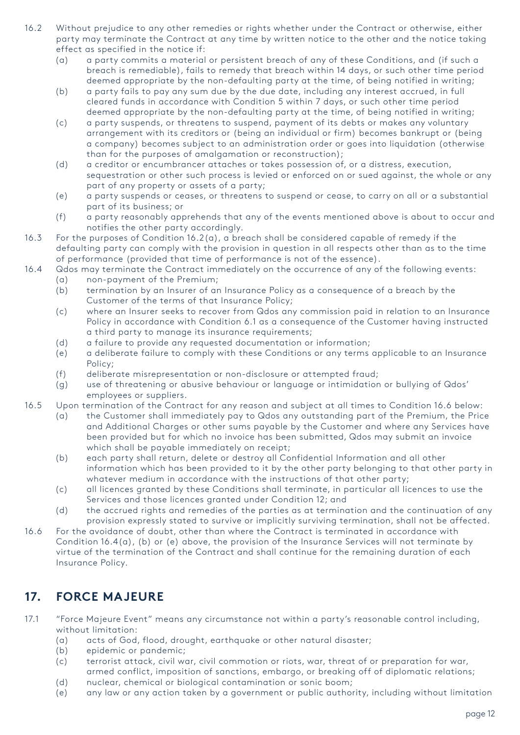- 16.2 Without prejudice to any other remedies or rights whether under the Contract or otherwise, either party may terminate the Contract at any time by written notice to the other and the notice taking effect as specified in the notice if:
	- (a) a party commits a material or persistent breach of any of these Conditions, and (if such a breach is remediable), fails to remedy that breach within 14 days, or such other time period deemed appropriate by the non-defaulting party at the time, of being notified in writing;
	- (b) a party fails to pay any sum due by the due date, including any interest accrued, in full cleared funds in accordance with Condition 5 within 7 days, or such other time period deemed appropriate by the non-defaulting party at the time, of being notified in writing;
	- (c) a party suspends, or threatens to suspend, payment of its debts or makes any voluntary arrangement with its creditors or (being an individual or firm) becomes bankrupt or (being a company) becomes subject to an administration order or goes into liquidation (otherwise than for the purposes of amalgamation or reconstruction);
	- (d) a creditor or encumbrancer attaches or takes possession of, or a distress, execution, sequestration or other such process is levied or enforced on or sued against, the whole or any part of any property or assets of a party;
	- (e) a party suspends or ceases, or threatens to suspend or cease, to carry on all or a substantial part of its business; or
	- (f) a party reasonably apprehends that any of the events mentioned above is about to occur and notifies the other party accordingly.
- 16.3 For the purposes of Condition 16.2(a), a breach shall be considered capable of remedy if the defaulting party can comply with the provision in question in all respects other than as to the time of performance (provided that time of performance is not of the essence).
- 16.4 Qdos may terminate the Contract immediately on the occurrence of any of the following events:
	- (a) non-payment of the Premium;
	- (b) termination by an Insurer of an Insurance Policy as a consequence of a breach by the Customer of the terms of that Insurance Policy;
	- (c) where an Insurer seeks to recover from Qdos any commission paid in relation to an Insurance Policy in accordance with Condition 6.1 as a consequence of the Customer having instructed a third party to manage its insurance requirements;
	- (d) a failure to provide any requested documentation or information;
	- (e) a deliberate failure to comply with these Conditions or any terms applicable to an Insurance Policy;
	- (f) deliberate misrepresentation or non-disclosure or attempted fraud;
	- (g) use of threatening or abusive behaviour or language or intimidation or bullying of Qdos' employees or suppliers.
- 16.5 Upon termination of the Contract for any reason and subject at all times to Condition 16.6 below:
	- (a) the Customer shall immediately pay to Qdos any outstanding part of the Premium, the Price and Additional Charges or other sums payable by the Customer and where any Services have been provided but for which no invoice has been submitted, Qdos may submit an invoice which shall be payable immediately on receipt;
	- (b) each party shall return, delete or destroy all Confidential Information and all other information which has been provided to it by the other party belonging to that other party in whatever medium in accordance with the instructions of that other party;
	- (c) all licences granted by these Conditions shall terminate, in particular all licences to use the Services and those licences granted under Condition 12; and
	- (d) the accrued rights and remedies of the parties as at termination and the continuation of any provision expressly stated to survive or implicitly surviving termination, shall not be affected.
- 16.6 For the avoidance of doubt, other than where the Contract is terminated in accordance with Condition 16.4(a), (b) or (e) above, the provision of the Insurance Services will not terminate by virtue of the termination of the Contract and shall continue for the remaining duration of each Insurance Policy.

# **17. FORCE MAJEURE**

- 17.1 "Force Majeure Event" means any circumstance not within a party's reasonable control including, without limitation:
	- (a) acts of God, flood, drought, earthquake or other natural disaster;
	- (b) epidemic or pandemic;
	- (c) terrorist attack, civil war, civil commotion or riots, war, threat of or preparation for war, armed conflict, imposition of sanctions, embargo, or breaking off of diplomatic relations;
	- (d) nuclear, chemical or biological contamination or sonic boom;
	- (e) any law or any action taken by a government or public authority, including without limitation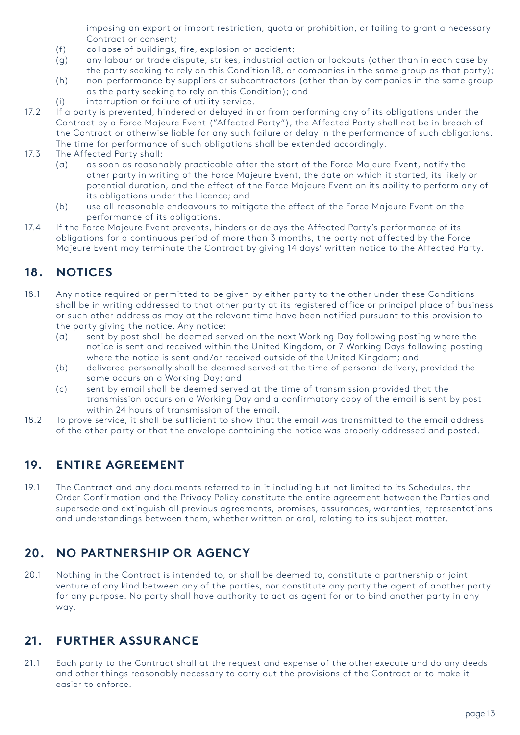imposing an export or import restriction, quota or prohibition, or failing to grant a necessary Contract or consent;

- (f) collapse of buildings, fire, explosion or accident;
- (g) any labour or trade dispute, strikes, industrial action or lockouts (other than in each case by the party seeking to rely on this Condition 18, or companies in the same group as that party);
- (h) non-performance by suppliers or subcontractors (other than by companies in the same group as the party seeking to rely on this Condition); and
- (i) interruption or failure of utility service.
- 17.2 If a party is prevented, hindered or delayed in or from performing any of its obligations under the Contract by a Force Majeure Event ("Affected Party"), the Affected Party shall not be in breach of the Contract or otherwise liable for any such failure or delay in the performance of such obligations. The time for performance of such obligations shall be extended accordingly.

#### 17.3 The Affected Party shall:

- (a) as soon as reasonably practicable after the start of the Force Majeure Event, notify the other party in writing of the Force Majeure Event, the date on which it started, its likely or potential duration, and the effect of the Force Majeure Event on its ability to perform any of its obligations under the Licence; and
- (b) use all reasonable endeavours to mitigate the effect of the Force Majeure Event on the performance of its obligations.
- 17.4 If the Force Majeure Event prevents, hinders or delays the Affected Party's performance of its obligations for a continuous period of more than 3 months, the party not affected by the Force Majeure Event may terminate the Contract by giving 14 days' written notice to the Affected Party.

# **18. NOTICES**

- 18.1 Any notice required or permitted to be given by either party to the other under these Conditions shall be in writing addressed to that other party at its registered office or principal place of business or such other address as may at the relevant time have been notified pursuant to this provision to the party giving the notice. Any notice:
	- (a) sent by post shall be deemed served on the next Working Day following posting where the notice is sent and received within the United Kingdom, or 7 Working Days following posting where the notice is sent and/or received outside of the United Kingdom; and
	- (b) delivered personally shall be deemed served at the time of personal delivery, provided the same occurs on a Working Day; and
	- (c) sent by email shall be deemed served at the time of transmission provided that the transmission occurs on a Working Day and a confirmatory copy of the email is sent by post within 24 hours of transmission of the email.
- 18.2 To prove service, it shall be sufficient to show that the email was transmitted to the email address of the other party or that the envelope containing the notice was properly addressed and posted.

#### **19. ENTIRE AGREEMENT**

19.1 The Contract and any documents referred to in it including but not limited to its Schedules, the Order Confirmation and the Privacy Policy constitute the entire agreement between the Parties and supersede and extinguish all previous agreements, promises, assurances, warranties, representations and understandings between them, whether written or oral, relating to its subject matter.

# **20. NO PARTNERSHIP OR AGENCY**

20.1 Nothing in the Contract is intended to, or shall be deemed to, constitute a partnership or joint venture of any kind between any of the parties, nor constitute any party the agent of another party for any purpose. No party shall have authority to act as agent for or to bind another party in any way.

## **21. FURTHER ASSURANCE**

21.1 Each party to the Contract shall at the request and expense of the other execute and do any deeds and other things reasonably necessary to carry out the provisions of the Contract or to make it easier to enforce.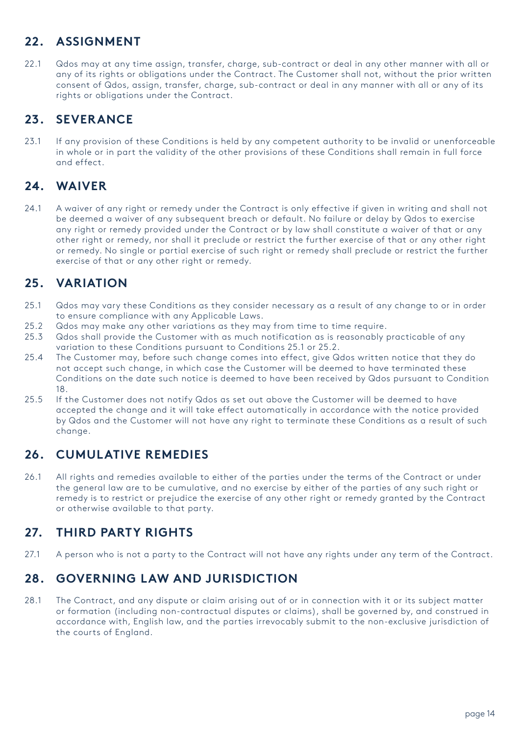# **22. ASSIGNMENT**

22.1 Qdos may at any time assign, transfer, charge, sub-contract or deal in any other manner with all or any of its rights or obligations under the Contract. The Customer shall not, without the prior written consent of Qdos, assign, transfer, charge, sub-contract or deal in any manner with all or any of its rights or obligations under the Contract.

# **23. SEVERANCE**

23.1 If any provision of these Conditions is held by any competent authority to be invalid or unenforceable in whole or in part the validity of the other provisions of these Conditions shall remain in full force and effect.

# **24. WAIVER**

24.1 A waiver of any right or remedy under the Contract is only effective if given in writing and shall not be deemed a waiver of any subsequent breach or default. No failure or delay by Qdos to exercise any right or remedy provided under the Contract or by law shall constitute a waiver of that or any other right or remedy, nor shall it preclude or restrict the further exercise of that or any other right or remedy. No single or partial exercise of such right or remedy shall preclude or restrict the further exercise of that or any other right or remedy.

# **25. VARIATION**

- 25.1 Qdos may vary these Conditions as they consider necessary as a result of any change to or in order to ensure compliance with any Applicable Laws.
- 25.2 Qdos may make any other variations as they may from time to time require.
- 25.3 Qdos shall provide the Customer with as much notification as is reasonably practicable of any variation to these Conditions pursuant to Conditions 25.1 or 25.2.
- 25.4 The Customer may, before such change comes into effect, give Qdos written notice that they do not accept such change, in which case the Customer will be deemed to have terminated these Conditions on the date such notice is deemed to have been received by Qdos pursuant to Condition 18.
- 25.5 If the Customer does not notify Qdos as set out above the Customer will be deemed to have accepted the change and it will take effect automatically in accordance with the notice provided by Qdos and the Customer will not have any right to terminate these Conditions as a result of such change.

## **26. CUMULATIVE REMEDIES**

26.1 All rights and remedies available to either of the parties under the terms of the Contract or under the general law are to be cumulative, and no exercise by either of the parties of any such right or remedy is to restrict or prejudice the exercise of any other right or remedy granted by the Contract or otherwise available to that party.

## **27. THIRD PARTY RIGHTS**

27.1 A person who is not a party to the Contract will not have any rights under any term of the Contract.

# **28. GOVERNING LAW AND JURISDICTION**

28.1 The Contract, and any dispute or claim arising out of or in connection with it or its subject matter or formation (including non-contractual disputes or claims), shall be governed by, and construed in accordance with, English law, and the parties irrevocably submit to the non-exclusive jurisdiction of the courts of England.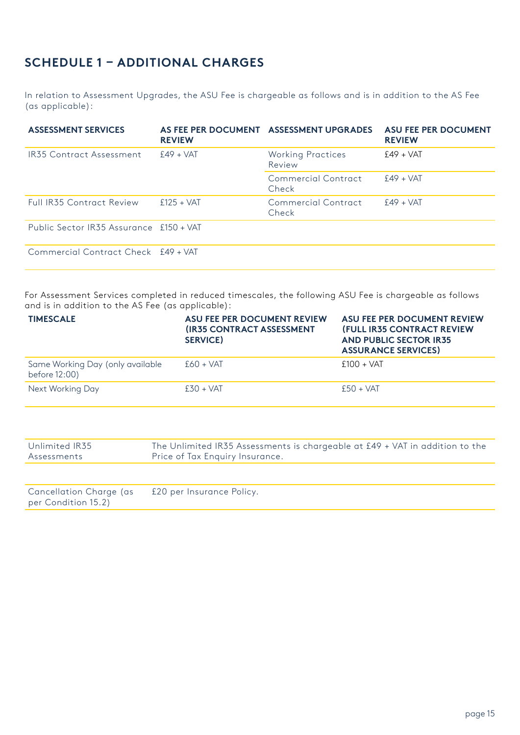# **SCHEDULE 1 – ADDITIONAL CHARGES**

In relation to Assessment Upgrades, the ASU Fee is chargeable as follows and is in addition to the AS Fee (as applicable):

| <b>ASSESSMENT SERVICES</b>              | <b>REVIEW</b> | AS FEE PER DOCUMENT ASSESSMENT UPGRADES | <b>ASU FEE PER DOCUMENT</b><br><b>REVIEW</b> |
|-----------------------------------------|---------------|-----------------------------------------|----------------------------------------------|
| IR35 Contract Assessment                | $£49 + VAT$   | <b>Working Practices</b><br>Review      | $£49 + VAT$                                  |
|                                         |               | Commercial Contract<br>Check            | $£49 + VAT$                                  |
| <b>Full IR35 Contract Review</b>        | $f125 + VAT$  | Commercial Contract<br>Check            | $f49 + VAT$                                  |
| Public Sector IR35 Assurance £150 + VAT |               |                                         |                                              |
| Commercial Contract Check £49 + VAT     |               |                                         |                                              |

For Assessment Services completed in reduced timescales, the following ASU Fee is chargeable as follows and is in addition to the AS Fee (as applicable):

| <b>TIMESCALE</b>                                  | <b>ASU FEE PER DOCUMENT REVIEW</b><br><b>(IR35 CONTRACT ASSESSMENT</b><br><b>SERVICE)</b> | <b>ASU FEE PER DOCUMENT REVIEW</b><br><b>(FULL IR35 CONTRACT REVIEW</b><br><b>AND PUBLIC SECTOR IR35</b><br><b>ASSURANCE SERVICES)</b> |
|---------------------------------------------------|-------------------------------------------------------------------------------------------|----------------------------------------------------------------------------------------------------------------------------------------|
| Same Working Day (only available<br>before 12:00) | $£60 + VAT$                                                                               | $f100 + VAT$                                                                                                                           |
| Next Working Day                                  | $£30 + VAT$                                                                               | $f50 + VAT$                                                                                                                            |

| Unlimited IR35<br>Assessments                  | The Unlimited IR35 Assessments is chargeable at £49 + VAT in addition to the<br>Price of Tax Enquiry Insurance. |
|------------------------------------------------|-----------------------------------------------------------------------------------------------------------------|
|                                                |                                                                                                                 |
| Cancellation Charge (as<br>per Condition 15.2) | £20 per Insurance Policy.                                                                                       |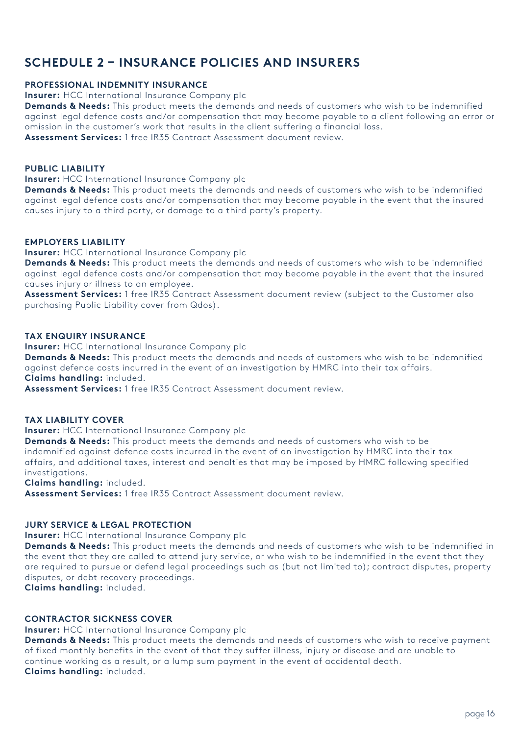# **SCHEDULE 2 – INSURANCE POLICIES AND INSURERS**

#### **PROFESSIONAL INDEMNITY INSURANCE**

**Insurer:** HCC International Insurance Company plc

**Demands & Needs:** This product meets the demands and needs of customers who wish to be indemnified against legal defence costs and/or compensation that may become payable to a client following an error or omission in the customer's work that results in the client suffering a financial loss. **Assessment Services:** 1 free IR35 Contract Assessment document review.

**PUBLIC LIABILITY**

**Insurer:** HCC International Insurance Company plc

**Demands & Needs:** This product meets the demands and needs of customers who wish to be indemnified against legal defence costs and/or compensation that may become payable in the event that the insured causes injury to a third party, or damage to a third party's property.

#### **EMPLOYERS LIABILITY**

**Insurer:** HCC International Insurance Company plc

**Demands & Needs:** This product meets the demands and needs of customers who wish to be indemnified against legal defence costs and/or compensation that may become payable in the event that the insured causes injury or illness to an employee.

**Assessment Services:** 1 free IR35 Contract Assessment document review (subject to the Customer also purchasing Public Liability cover from Qdos).

#### **TAX ENQUIRY INSURANCE**

**Insurer:** HCC International Insurance Company plc

**Demands & Needs:** This product meets the demands and needs of customers who wish to be indemnified against defence costs incurred in the event of an investigation by HMRC into their tax affairs. **Claims handling:** included.

**Assessment Services:** 1 free IR35 Contract Assessment document review.

#### **TAX LIABILITY COVER**

**Insurer:** HCC International Insurance Company plc

**Demands & Needs:** This product meets the demands and needs of customers who wish to be indemnified against defence costs incurred in the event of an investigation by HMRC into their tax affairs, and additional taxes, interest and penalties that may be imposed by HMRC following specified investigations.

**Claims handling:** included.

**Assessment Services:** 1 free IR35 Contract Assessment document review.

#### **JURY SERVICE & LEGAL PROTECTION**

**Insurer:** HCC International Insurance Company plc

**Demands & Needs:** This product meets the demands and needs of customers who wish to be indemnified in the event that they are called to attend jury service, or who wish to be indemnified in the event that they are required to pursue or defend legal proceedings such as (but not limited to); contract disputes, property disputes, or debt recovery proceedings.

**Claims handling:** included.

#### **CONTRACTOR SICKNESS COVER**

**Insurer:** HCC International Insurance Company plc

**Demands & Needs:** This product meets the demands and needs of customers who wish to receive payment of fixed monthly benefits in the event of that they suffer illness, injury or disease and are unable to continue working as a result, or a lump sum payment in the event of accidental death. **Claims handling:** included.